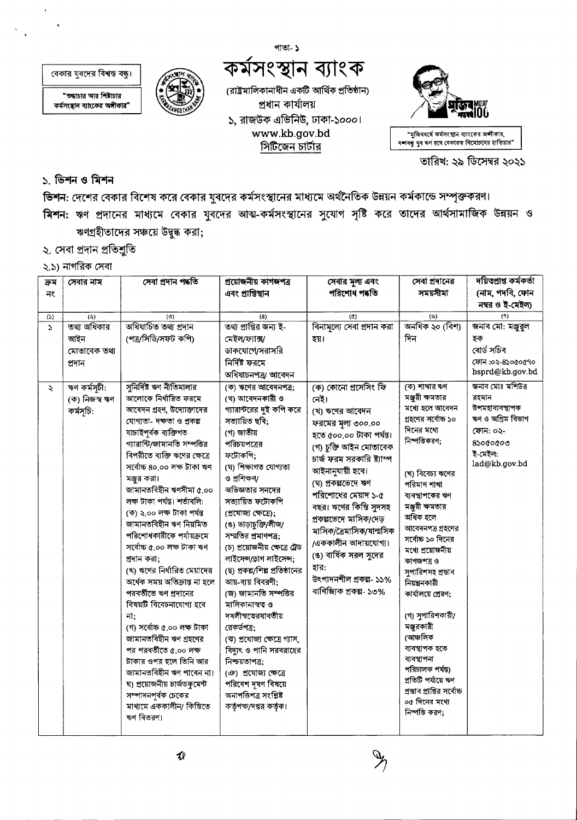পাতা- ১

বেকার যুবদের বিশ্বস্ত বন্ধু।

"শুদ্ধাচার আর শিষ্টাচার কৰ্মসংস্থান ব্যাংকের অঙ্গীকার"



# কৰ্মসংস্থান ব্যাংক

(রাষ্ট্রমালিকানাধীন একটি আর্থিক প্রতিষ্ঠান) প্ৰধান কাৰ্যালয় ১, রাজউক এভিনিউ, ঢাকা-১০০০। www.kb.gov.bd সিটিজেন চার্টার



"মুজিববর্ষে কর্মসংস্থান ব্যাংকের অঙ্গীকার, বশ্ববন্ধু যুব ঋণ হবে বেকারত বিমোচনের হাতিয়ার"

তারিখ: ২৯ ডিসেম্বর ২০২১

#### ১. ভিশন ও মিশন

ভিশন: দেশের বেকার বিশেষ করে বেকার যুবদের কর্মসংস্থানের মাধ্যমে অর্থনৈতিক উন্নয়ন কর্মকান্ডে সম্পৃক্তকরণ। মিশন: ঋণ প্রদানের মাধ্যমে বেকার যুবদের আত্ম-কর্মসংস্থানের সুযোগ সৃষ্টি করে তাদের আর্থসামাজিক উন্নয়ন ও ঋণগ্রহীতাদের সঞ্চয়ে উদুদ্ধ করা;

- ২. সেবা প্রদান প্রতিশ্রুতি
- ২.১) নাগরিক সেবা

| ক্ৰম     | সেবার নাম     | সেবা প্ৰদান পদ্ধতি            | প্ৰয়োজনীয় কাগজপত্ৰ           | সেবার মূল্য এবং            | সেবা প্রদানের                   | দয়িত্বপ্ৰাপ্ত কৰ্মকৰ্তা |
|----------|---------------|-------------------------------|--------------------------------|----------------------------|---------------------------------|--------------------------|
| নং       |               |                               | এবং প্রাপ্তিস্থান              | পরিশোধ পদ্ধতি              | সময়সীমা                        | (নাম, পদবি, ফোন          |
|          |               |                               |                                |                            |                                 | নম্বর ও ই-মেইল)          |
| (5)      | (5)           | (°)                           | (8)                            | $\left( 0 \right)$         | $($ ს $)$                       | (9)                      |
| $\Delta$ | তথ্য অধিকার   | অধিযাচিত তথ্য প্ৰদান          | তথ্য প্রাপ্তির জন্য ই-         | বিনামল্যে সেবা প্রদান করা  | অনধিক ২০ (বিশ)                  | জনাব মো: মঞ্জুবুল        |
|          | আইন           | (পত্ৰ/সিডি/সফট কপি)           | মেইল/ফ্যাক্স/                  | হয়।                       | দিন                             | হক                       |
|          | মোতাবেক তথ্য  |                               | ডাকযোগে/সরাসরি                 |                            |                                 | বোৰ্ড সচিব               |
|          | প্ৰদান        |                               | নিৰ্দিষ্ট ফরমে                 |                            |                                 | ফোন :০২-৪১০৫০৫৭০         |
|          |               |                               | অধিযাচনপত্ৰ/ আবেদন             |                            |                                 | bsprd@kb.gov.bd          |
| ₹        | ঋণ কৰ্মসূচী:  | সুনির্দিষ্ট ঋণ নীতিমালার      | (ক) ঋণের আবেদনপত্র;            | (ক) কোনো প্রসেসিং ফি       | (ক) শাখার ঋণ                    | জনাব মোঃ মশিউর           |
|          | (ক) নিজস্ব ঋণ | আলোকে নিৰ্ধারিত ফরমে          | (খ) আবেদনকারী ও                | নেই।                       | মঞ্জুরী ক্ষমতার                 | রহমান                    |
|          | কৰ্মসূচি:     | আবেদন গ্রহণ, উদ্যোক্তাদের     | গ্যারান্টরের দুই কপি করে       | (খ) ঋণের আবেদন             | মধ্যে হলে আবেদন                 | উপমহাব্যবস্থাপক          |
|          |               | যোগ্যতা- দক্ষতা ও প্ৰকল্প     | সত্যায়িত ছবি;                 | ফরমের মূল্য ৩০০.০০         | গ্রহণের সর্বোচ্চ ১০             | ঋণ ও অগ্রিম বিভাগ        |
|          |               | যাচাইপূৰ্বক ব্যক্তিগত         | (গ) জাতীয়                     | হতে ৫০০.০০ টাকা পৰ্যন্ত।   | দিনের মধ্যে                     | ফোন: ০২-                 |
|          |               | গ্যারান্টি/জামানতি সম্পত্তির  | পরিচয়পত্রের                   | (গ) চুক্তি আইন মোতাবেক     | নিষ্পত্তিকরণ;                   | $8$ ১০ $6$ ০ $6$ ০৩      |
|          |               | বিপরীতে ব্যক্তি ঋণের ক্ষেত্রে | ফটোকপি:                        | চার্জ ফরম সরকারি ষ্ট্যাম্প |                                 | ই-মেইল:                  |
|          |               | সৰ্বোচ্চ ৪০.০০ লক্ষ টাকা ঋণ   | (ঘ) শিক্ষাগত যোগ্যতা           | আইনানুযায়ী হবে।           | (খ) বিবেচ্য ঋণের                | lad@kb.gov.bd            |
|          |               | মঞ্জুর করা।                   | ও প্ৰশিক্ষণ/                   | (ঘ) প্ৰকল্পভেদে ঋণ         | পরিমাণ শাখা                     |                          |
|          |               | জামানতবিহীন ঋণসীমা ৫.০০       | অভিজ্ঞতার সনদের                | পরিশোধের মেয়াদ ১-৫        | ব্যবস্থাপকের ঋণ                 |                          |
|          |               | লক্ষ টাকা পৰ্যন্ত। শৰ্তাবলি:  | সত্যায়িত ফটোকপি               | বছর। ঋণের কিন্তি সুদসহ     | মঞ্জুরী ক্ষমতার                 |                          |
|          |               | (ক) ২.০০ লক্ষ টাকা পৰ্যন্ত    | (প্ৰযোজ্য ক্ষেত্ৰে);           | প্ৰকল্পভেদে মাসিক/দেড়     | অধিক হলে                        |                          |
|          |               | জামানতবিহীন ঋণ নিয়মিত        | (ঙ) ভাড়াচুক্তি/লীজ/           | মাসিক/ব্ৰৈমাসিক/ষান্মসিক   | আবেদনপত্র গ্রহণের               |                          |
|          |               | পরিশোধকারীকে পর্যায়ক্রমে     | সম্মতির প্রমাণপত্র;            |                            | সর্বোচ্চ ১০ দিনের               |                          |
|          |               | সৰ্বোচ্চ ৫.০০ লক্ষ টাকা ঋণ    | (চ) প্রয়োজনীয় ক্ষেত্রে ট্রেড | /এককালীন আদায়যোগ্য।       | মধ্যে প্ৰয়োজনীয়               |                          |
|          |               | প্রদান করা;                   | লাইসেন্সডোগ লাইসেন্স;          | (ঙ) বার্ষিক সরল সুদের      | কাগজপত্ৰ ও                      |                          |
|          |               | (খ) ঋণের নির্ধারিত মেয়াদের   | (ছ) প্রকল্প/শিল্প প্রতিষ্ঠানের | হার:                       | সুপারিশসহ প্রস্তাব              |                          |
|          |               | অর্ধেক সময় অতিক্রান্ত না হলে | আয়-ব্যয় বিবরণী;              | উৎপাদনশীল প্ৰকল্প- ১১%     | নিয়ন্ত্ৰনকারী                  |                          |
|          |               | পরবর্তীতে ঋণ প্রদানের         | (জ) জামানতি সম্পত্তির          | বাণিজ্যিক প্ৰকল্প- ১৩%     | কার্যালয়ে প্রেরণ;              |                          |
|          |               | বিষয়টি বিবেচনাযোগ্য হবে      | মালিকানাস্বত্ব ও               |                            |                                 |                          |
|          |               | না;                           | দখলীস্বতেরযাবতীয়              |                            | (গ) সুপারিশকারী/                |                          |
|          |               | (গ) সৰ্বোচ্চ ৫.০০ লক্ষ টাকা   | রেকর্ডপত্র:                    |                            | মঞ্জুরকারী                      |                          |
|          |               | জামানতবিহীন ঋণ গ্ৰহণের        | (ঝ) প্রযোজ্য ক্ষেত্রে গ্যাস,   |                            | (আঞ্চলিক                        |                          |
|          |               | পর পরবর্তীতে ৫.০০ লক্ষ        | বিদ্যুৎ ও পানি সরবরাহের        |                            | ব্যবস্থাপক হতে                  |                          |
|          |               | টাকার ওপর হলে তিনি আর         | নিশ্চয়তাপত্ৰ:                 |                            | ব্যবস্থাপনা<br>পরিচালক পর্যন্ত) |                          |
|          |               | জামানতবিহীন ঋণ পাবেন না।      | (ঞ) প্রযোজ্য ক্ষেত্রে          |                            | প্রতিটি পর্যায়ে ঋণ             |                          |
|          |               | ঘ) প্রয়োজনীয় চার্জডকুমেন্ট  | পরিবেশ দূষণ বিষয়ে             |                            | প্রস্তাব প্রাপ্তির সর্বোচ্চ     |                          |
|          |               | সম্পাদনপূর্বক চেকের           | অনাপত্তিপত্ৰ সংশ্লিষ্ট         |                            | ০৫ দিনের মধ্যে                  |                          |
|          |               | মাধ্যমে এককালীন/ কিন্তিতে     | কর্তৃপক্ষ/দপ্তর কর্তৃক।        |                            | নিষ্পত্তি করণ;                  |                          |
|          |               | ঋণ বিতরণ।                     |                                |                            |                                 |                          |
|          |               |                               |                                |                            |                                 |                          |

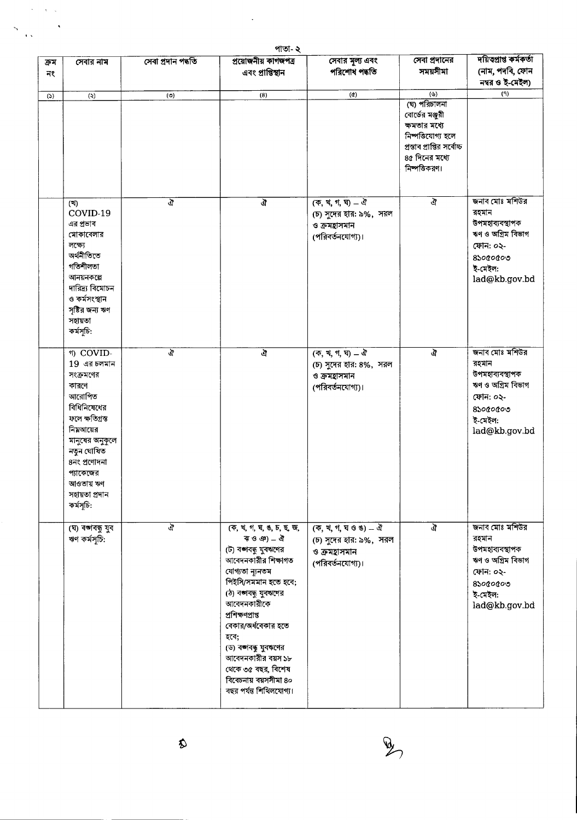|            | পাতা- ২                                                                                                                                                                                                              |                    |                                                                                                                                                                                                                                                                                                                                                                      |                                                                                                                                                                                  |                                                                                                                                                             |                                                                                                                                |  |  |
|------------|----------------------------------------------------------------------------------------------------------------------------------------------------------------------------------------------------------------------|--------------------|----------------------------------------------------------------------------------------------------------------------------------------------------------------------------------------------------------------------------------------------------------------------------------------------------------------------------------------------------------------------|----------------------------------------------------------------------------------------------------------------------------------------------------------------------------------|-------------------------------------------------------------------------------------------------------------------------------------------------------------|--------------------------------------------------------------------------------------------------------------------------------|--|--|
| ক্ৰম<br>নং | সেবার নাম                                                                                                                                                                                                            | সেবা প্ৰদান পদ্ধতি | প্ৰয়োজনীয় কাগজপত্ৰ<br>এবং প্রাপ্তিস্থান                                                                                                                                                                                                                                                                                                                            | সেবার মূল্য এবং<br>পরিশোধ পদ্ধতি                                                                                                                                                 | সেবা প্রদানের<br>সময়সীমা                                                                                                                                   | দয়িত্বাপ্ত কৰ্মকৰ্তা<br>(নাম, পদবি, ফোন<br>নম্বর ও ই-মেইল)                                                                    |  |  |
| (5)        | $\ddot{\mathbf{z}}$                                                                                                                                                                                                  | (9)                | (8)                                                                                                                                                                                                                                                                                                                                                                  | $\left( \alpha \right)$                                                                                                                                                          | $(\mathcal{C})$<br>(ঘ) পরিচালনা<br>বোর্ডের মঞ্জুরী<br>ক্ষমতার মধ্যে<br>নিষ্পত্তিযোগ্য হলে<br>প্ৰস্তাৰ প্ৰাপ্তির সৰ্বোচ্চ<br>৪৫ দিনের মধ্যে<br>নিষ্পত্তিকরণ। | (9)                                                                                                                            |  |  |
|            | (3)<br>COVID-19<br>এর প্রভাব<br>মোকাবেলার<br>লক্ষ্যে<br>অৰ্থনীতিতে<br>গতিশীলতা<br>আনয়নকল্পে<br>দারিদ্র্য বিমোচন<br>ও কর্মসংস্থান<br>সৃষ্টির জন্য ঋণ<br>সহায়তা<br>কৰ্মসূচি:                                         | ঐ                  | ঞ্চ                                                                                                                                                                                                                                                                                                                                                                  | $($ क, च, ग, घ) $-$ ঐ<br>(চ) সুদের হার: ৯%, সরল<br>ও ক্রমহাসমান<br>(পরিবর্তনযোগ্য)।                                                                                              | ঐ                                                                                                                                                           | জনাব মোঃ মশিউর<br>রহমান<br>উপমহাব্যবস্থাপক<br>ঋণ ও অগ্রিম বিভাগ<br>ফোন: ০২-<br>$8$ so $0$ o $0$ o<br>ই-মেইল:<br>lad@kb.gov.bd  |  |  |
|            | গ) COVID-<br>$19$ এর চলমান<br>সংক্রমণের<br>কারণে<br>আরোপিত<br>বিধিনিষেধের<br>ফলে ক্ষতিগ্ৰস্ত<br>নিম্নআয়ের<br>মানুষের অনুকূলে<br>নতুন ঘোষিত<br>৪নং প্রণোদনা<br>প্যাকেজের<br>আওতায় ঋণ<br>সহায়তা প্ৰদান<br>কৰ্মসূচি: | ঐ                  | জ                                                                                                                                                                                                                                                                                                                                                                    | $($ क, य, ग, घ) $-$ ঐ<br>(চ) সুদের হার: ৪%, সরল<br>ও ক্রমহাসমান<br>(পরিবর্তনযোগ্য)।                                                                                              | ঐ                                                                                                                                                           | জনাব মোঃ মশিউর<br>রহমান<br>উপমহাব্যবস্থাপক<br>ঋণ ও অগ্রিম বিভাগ<br>ফোন: ০২-<br>$8$ ১০ $6$ ০ $6$ ০৩<br>ই-মেইল:<br>lad@kb.gov.bd |  |  |
|            | (ঘ) বজাবন্ধু যুব<br>ঋণ কর্মসূচি:                                                                                                                                                                                     | ঐ                  | (क, थ, গ, ঘ, ঙ, চ, ছ, জ,<br>$\overline{P}$ ও ঞ) $-$ ঐ<br>(ট) বঙ্গবন্ধু যুবঋণের<br>আবেদনকারীর শিক্ষাগত<br>যোগ্যতা ন্যুনতম<br>পিইসি/সমমান হতে হবে;<br>(ঠ) বঙ্গবন্ধু যুবঋণের<br>আবেদনকারীকে<br>প্ৰশিক্ষণপ্ৰাপ্ত<br>বেকার/অর্ধবেকার হতে<br>হবে;<br>(ড) বঙ্গবন্ধু যুবঋণের<br>আবেদনকারীর বয়স ১৮<br>থেকে ৩৫ বছর, বিশেষ<br>বিবেচনায় বয়সসীমা ৪০<br>বছর পর্যন্ত শিথিলযোগ্য। | $(\overline{q}, \overline{q}, \overline{\eta}, \overline{q} \cdot \overline{q} \cdot \overline{q}) = \overline{q}$<br>(চ) সুদের হার: ৯%, সরল<br>ও ক্রমহাসমান<br>(পরিবর্তনযোগ্য)। | ্র                                                                                                                                                          | জনাব মোঃ মশিউর<br>রহমান<br>উপমহাব্যবস্থাপক<br>ঋণ ও অগ্রিম বিভাগ<br>ফোন: ০২-<br>$8$ boccocoo<br>ই-মেইল:<br>lad@kb.gov.bd        |  |  |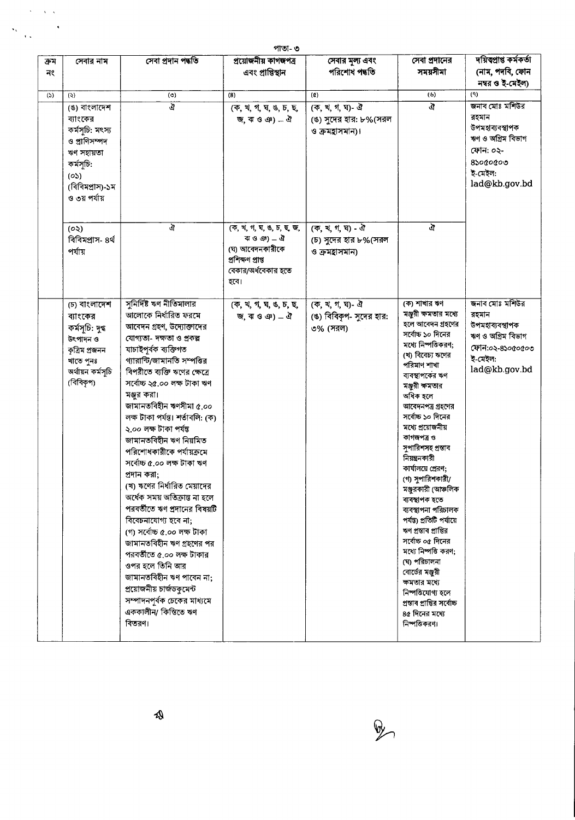|            | পাতা- ৩                                                                                                                             |                                                                                                                                                                                                                                                                                                                                                                                                                                                                                                                                                                                                                                                                                                                                                                                                                |                                                                                                                 |                                                            |                                                                                                                                                                                                                                                                                                                                                                                                                                                                                                                                                                                                                                                                         |                                                                                                                        |  |
|------------|-------------------------------------------------------------------------------------------------------------------------------------|----------------------------------------------------------------------------------------------------------------------------------------------------------------------------------------------------------------------------------------------------------------------------------------------------------------------------------------------------------------------------------------------------------------------------------------------------------------------------------------------------------------------------------------------------------------------------------------------------------------------------------------------------------------------------------------------------------------------------------------------------------------------------------------------------------------|-----------------------------------------------------------------------------------------------------------------|------------------------------------------------------------|-------------------------------------------------------------------------------------------------------------------------------------------------------------------------------------------------------------------------------------------------------------------------------------------------------------------------------------------------------------------------------------------------------------------------------------------------------------------------------------------------------------------------------------------------------------------------------------------------------------------------------------------------------------------------|------------------------------------------------------------------------------------------------------------------------|--|
| ক্ৰম<br>নং | সেবার নাম                                                                                                                           | সেবা প্ৰদান পদ্ধতি                                                                                                                                                                                                                                                                                                                                                                                                                                                                                                                                                                                                                                                                                                                                                                                             | প্ৰয়োজনীয় কাগজপত্ৰ<br>এবং প্রাপ্তিস্থান                                                                       | সেবার মূল্য এবং<br>পরিশোধ পদ্ধতি                           | সেবা প্রদানের<br>সময়সীমা                                                                                                                                                                                                                                                                                                                                                                                                                                                                                                                                                                                                                                               | দয়িত্বপ্ৰাপ্ত কৰ্মকৰ্তা<br>(নাম, পদবি, ফোন<br>নম্বর ও ই-মেইল)                                                         |  |
| (5)        | (5)                                                                                                                                 | $($ $\circ$ )                                                                                                                                                                                                                                                                                                                                                                                                                                                                                                                                                                                                                                                                                                                                                                                                  | (8)                                                                                                             | $\left( \alpha \right)$                                    | $(\psi)$                                                                                                                                                                                                                                                                                                                                                                                                                                                                                                                                                                                                                                                                | (9)                                                                                                                    |  |
|            | (ঙ) বাংলাদেশ<br>ব্যাংকের<br>কর্মসূচি: মৎস্য<br>ও প্রাণিসম্পদ<br>ঋণ সহায়তা<br>কৰ্মসূচি:<br>(05)<br>(বিবিমপ্ৰাস)-১ম<br>ও ৩য় পর্যায় | ক্র                                                                                                                                                                                                                                                                                                                                                                                                                                                                                                                                                                                                                                                                                                                                                                                                            | (क, थ, १, घ, ७, ५, छ,<br>জি. ঝ ও ঞ) _ ঐ                                                                         | (ক, খ, গ, ঘ)- ঐ<br>(ঙ) সুদের হার: ৮%(সরল<br>ও ক্রমহাসমান)। | ঐ                                                                                                                                                                                                                                                                                                                                                                                                                                                                                                                                                                                                                                                                       | জনাব মোঃ মশিউর<br>রহমান<br>উপমহাব্যবস্থাপক<br>ঋণ ও অগ্ৰিম বিভাগ<br>ফোন: ০২-<br>$8$ sococoo<br>হ মেইল:<br>lad@kb.gov.bd |  |
|            | (০২)<br>বিবিমপ্ৰাস- ৪ৰ্থ<br>পৰ্যায়                                                                                                 | ঐ                                                                                                                                                                                                                                                                                                                                                                                                                                                                                                                                                                                                                                                                                                                                                                                                              | (क, थ, १, घ, ७, ५, ६, छ,<br>কাও ঞ) $-$ ঐ<br>(ঘ) আবেদনকারীকে<br>প্ৰশিক্ষণ প্ৰাপ্ত<br>বেকার/অর্ধবেকার হতে<br>হবে। | (ক, খ, গ, ঘ) - ঐ<br>(চ) সুদের হার ৮%(সরল<br>ও ক্রমহাসমান)  | ঐ                                                                                                                                                                                                                                                                                                                                                                                                                                                                                                                                                                                                                                                                       |                                                                                                                        |  |
|            | (চ) বাংলাদেশ<br>ব্যাংকের<br>কৰ্মসূচি: দুগ্ধ<br>উৎপাদন ও<br>কৃত্ৰিম প্ৰজনন<br>খাতে পুনঃ<br>অর্থায়ন কর্মসূচি<br>(বিবিকৃপ)            | সুনির্দিষ্ট ঋণ নীতিমালার<br>আলোকে নির্ধারিত ফরমে<br>আবেদন গ্রহণ, উদ্যোক্তাদের<br>যোগ্যতা- দক্ষতা ও প্রকল্প<br>যাচাইপূৰ্বক ব্যক্তিগত<br>গ্যারান্টি/জামানতি সম্পত্তির<br>বিপরীতে ব্যক্তি ঋণের ক্ষেত্রে<br>সৰ্বোচ্চ ২৫.০০ লক্ষ টাকা ঋণ<br>মঞ্জুর করা।<br>জামানতবিহীন ঋণসীমা ৫.০০<br>লক্ষ টাকা পৰ্যন্ত। শৰ্তাবলি: (ক)<br>২.০০ লক্ষ টাকা পৰ্যন্ত<br>জামানতবিহীন ঋণ নিয়মিত<br>পরিশোধকারীকে পর্যায়ক্রমে<br>সৰ্বোচ্চ ৫.০০ লক্ষ টাকা ঋণ<br>প্ৰদান করা:<br>(খ) ঋণের নির্ধারিত মেয়াদের<br>অর্ধেক সময় অতিক্রান্ত না হলে<br>পরবর্তীতে ঋণ প্রদানের বিষয়টি<br>বিবেচনাযোগ্য হবে না;<br>(গ) সৰ্বোচ্চ ৫.০০ লক্ষ টাকা<br>জামানতবিহীন ঋণ গ্রহণের পর<br>পরবর্তীতে ৫.০০ লক্ষ টাকার<br>ওপর হলে তিনি আর<br>জামানতবিহীন ঋণ পাবেন না;<br>প্রয়োজনীয় চার্জডকুমেন্ট<br>সম্পাদনপূর্বক চেকের মাধ্যমে<br>এককালীন/ কিস্তিতে ঋণ<br>বিতরণ। | (क, थ, १, घ, ७, ४, छ,<br>জি. ঝ ও ঞ) _ ঐ                                                                         | (ক, খ, গ, ঘ) - ঐ<br>(ঙ) বিবিকৃপ- সুদের হার:<br>৩% (সরল)    | (ক) শাখার ঋণ<br>মঞ্জুরী ক্ষমতার মধ্যে<br>হলে আবেদন গ্রহণের<br>সর্বোচ্চ ১০ দিনের<br>মধ্যে নিষ্পত্তিকরণ;<br>(খ) বিবেচ্য ঋণের<br>পরিমাণ শাখা<br>ব্যবস্থাপকের ঋণ<br>মঞ্জুরী ক্ষমতার<br>অধিক হলে<br>আবেদনপত্র গ্রহণের<br>সর্বোচ্চ ১০ দিনের<br>মধ্যে প্রয়োজনীয়<br>কাগজপত্ৰ ও<br>সুপারিশসহ প্রস্তাব<br>নিয়ন্ত্রনকারী<br>কার্যালয়ে প্রেরণ;<br>(গ) সুপারিশকারী/<br>মঞ্জুরকারী (আঞ্চলিক<br>ব্যবস্থাপক হতে<br>ব্যবস্থাপনা পরিচালক<br>পৰ্যন্ত) প্ৰতিটি পৰ্যায়ে<br>ঋণ প্ৰস্তাব প্ৰাপ্তির<br>সৰ্বোচ্চ ০৫ দিনের<br>মধ্যে নিষ্পত্তি করণ;<br>(ঘ) পরিচালনা<br>বোর্ডের মঞ্জুরী<br>ক্ষমতার মধ্যে<br>নিপত্তিযোগ্য হলে<br>প্ৰস্তাব প্ৰাপ্তির সৰ্বোচ্চ<br>৪৫ দিনের মধ্যে<br>নিষ্পত্তিকরণ। | জনাব মোঃ মশিউর<br>রহমান<br>উপমহাব্যবস্থাপক<br>ঋণ ও অগ্রিম বিভাগ<br>ফোন:০২-৪১০৫০৫০৩<br>ই-মেইল:<br>lad@kb.gov.bd         |  |



 $\sim$ 

 $\frac{1}{2} \sum_{\alpha \in \mathcal{A}(\alpha)} \frac{1}{\alpha^{\alpha}}$ 

 $\hat{\mathbf{v}}$  ,  $\hat{\mathbf{v}}$ 

 $\ddot{\phantom{1}}$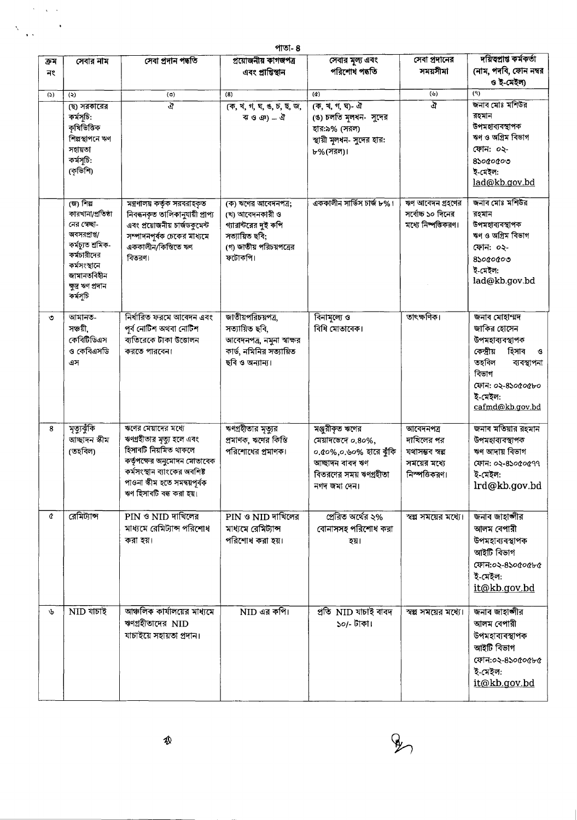|      | পাতা- ৪                                                                                                                                                             |                                                                                                                                                                                                       |                                                                                                                        |                                                                                                                                                                       |                                                                             |                                                                                                                                                                |  |  |
|------|---------------------------------------------------------------------------------------------------------------------------------------------------------------------|-------------------------------------------------------------------------------------------------------------------------------------------------------------------------------------------------------|------------------------------------------------------------------------------------------------------------------------|-----------------------------------------------------------------------------------------------------------------------------------------------------------------------|-----------------------------------------------------------------------------|----------------------------------------------------------------------------------------------------------------------------------------------------------------|--|--|
| ক্ৰম | সেবার নাম                                                                                                                                                           | সেবা প্ৰদান পদ্ধতি                                                                                                                                                                                    | প্ৰয়োজনীয় কাগজপত্ৰ                                                                                                   | সেবার মূল্য এবং                                                                                                                                                       | সেবা প্রদানের                                                               | দয়িত্বাপ্ত কর্মকর্তা                                                                                                                                          |  |  |
| নং   |                                                                                                                                                                     |                                                                                                                                                                                                       | এবং প্রাপ্তিস্থান                                                                                                      | পরিশোধ পদ্ধতি                                                                                                                                                         | সময়সীমা                                                                    | (নাম, পদবি, ফোন নম্বর<br>ও ই-মেইল)                                                                                                                             |  |  |
| (5)  | (5)                                                                                                                                                                 | (③)                                                                                                                                                                                                   | (8)                                                                                                                    | $\alpha$                                                                                                                                                              | $(\forall)$                                                                 | (9)                                                                                                                                                            |  |  |
|      | ছে সরকারের<br>কৰ্মসূচি:<br>কৃষিভিত্তিক<br>শিল্পস্থাপনে ঋণ<br>সহায়তা<br>কৰ্মসূচি:<br>(কৃভিশি)                                                                       | ঐ                                                                                                                                                                                                     | (क, थ, ग, घ, ७, ५, छ, জ,<br>ৰ ও ঞ) _ ঐ                                                                                 | $\overline{(\overline{q},\overline{q},\overline{q},\overline{q})}$ - $\overline{d}$<br>(ঙ) চলতি মূলধন- সুদের<br>হার:৯% (সরল)<br>স্থায়ী মূলধন- সুদের হার:<br>৮%(সরল)। | ঐ                                                                           | জনাব মোঃ মশিউর<br>রহমান<br>উপমহাব্যবস্থাপক<br>ঋণ ও অগ্রিম বিভাগ<br>ফোন: ০২-<br>$8$ sococoo<br>ই-মেইল:<br>lad@kb.gov.bd                                         |  |  |
|      | (জ) শিল্প<br>কারখানা/প্রতিষ্ঠা<br>নের স্বেচ্ছা-<br>অবসরপ্রাপ্ত/<br>কৰ্মচ্যুত শ্ৰমিক-<br>কর্মচারীদের<br>কৰ্মসংস্থানে<br>জামানতবিহীন<br>ক্ষুদ্ৰ ঋণ প্ৰদান<br>কৰ্মসূচি | মন্ত্রণালয় কর্তৃক সরবরাহকৃত<br>নিবন্ধনকৃত তালিকানুযায়ী প্ৰাপ্য<br>এবং প্রয়োজনীয় চার্জডকুমেন্ট<br>সম্পাদনপূর্বক চেকের মাধ্যমে<br>এককালীন/কিস্তিতে ঋণ<br>বিতরণ৷                                     | (ক) ঋণের আবেদনপত্র;<br>(খ) আবেদনকারী ও<br>গ্যারান্টরের দুই কপি<br>সত্যায়িত ছবি;<br>(গ) জাতীয় পরিচয়পত্রের<br>ফটোকপি। | এককালীন সার্ভিস চার্জ ৮%।                                                                                                                                             | ঋণ আবেদন গ্রহণের<br>সৰ্বোচ্চ ১০ দিনের<br>মধ্যে নিষ্পত্তিকরণ।                | জনাব মোঃ মশিউর<br>রহমান<br>উপমহাব্যবস্থাপক<br>ঋণ ও অগ্রিম বিভাগ<br>ফোন: ০২-<br>$8$ so $0$ o $0$ o<br>ই-মেইল:<br>lad@kb.gov.bd                                  |  |  |
| ৩    | আমানত-<br>সঞ্চয়ী,<br>কেবিটিডিএস<br>ও কেবিএসডি<br>এস                                                                                                                | নিৰ্ধারিত ফরমে আবেদন এবং<br>পূর্ব নোটিশ অথবা নোটিশ<br>ব্যতিরেকে টাকা উত্তোলন<br>করতে পারবেন।                                                                                                          | জাতীয়পরিচয়পত্র,<br>সত্যায়িত ছবি,<br>আবেদনপত্র, নমুনা স্বাক্ষর<br>কার্ড, নমিনির সত্যায়িত<br>ছবি ও অন্যান্য।         | বিনামূল্যে ও<br>বিধি মোতাবেক।                                                                                                                                         | তাৎক্ষণিক।                                                                  | জনাব মোহাম্মদ<br>জাকির হোসেন<br>উপমহাব্যবস্থাপক<br>কেন্দ্রীয়<br>হিসাব<br>ও<br>তহবিল<br>ব্যবস্থাপনা<br>বিভাগ<br>ফোন: ০২-৪১০৫০৫৮০<br>ই-মেইল:<br>cafmd@kb.gov.bd |  |  |
| 8    | মৃত্যুঝুঁকি<br>আছাদন স্কীম<br>(তহবিল)                                                                                                                               | ঋণের মেয়াদের মধ্যে<br>ঋণগ্রহীতার মৃত্যু হলে এবং<br>হিসাবটি নিয়মিত থাকলে<br>কর্তৃপক্ষের অনুমোদন মোতাবেক<br>কৰ্মসংস্থান ব্যাংকের অবশিষ্ট<br>পাওনা স্কীম হতে সমন্বয়পূৰ্বক<br>ঋণ হিসাবটি বন্ধ করা হয়। | ঋণগ্রহীতার মৃত্যুর<br>প্ৰমাণক, ঋণের কিস্তি<br>পরিশোধের প্রমাণক।                                                        | মঞ্জুরীকৃত ঋণের<br>মেয়াদভেদে ০.৪০%,<br>০.৫০%,০.৬০% হারে ঝুঁকি<br>আচ্ছাদন বাবদ ঋণ<br>বিতরণের সময় ঋণগ্রহীতা<br>নগদ জমা দেন।                                           | আবেদনপত্ৰ<br>দাখিলের পর<br>যথাসম্ভব স্বল্প<br>সময়ের মধ্যে<br>নিস্পত্তিকরণ। | জনাব মতিয়ার রহমান<br>উপমহাব্যবস্থাপক<br>ঋণ আদায় বিভাগ<br>ফোন: ০২-৪১০৫০৫৭৭<br>ই-মেইল:<br>lrd@kb.gov.bd                                                        |  |  |
| ¢    | রেমিট্যান্স                                                                                                                                                         | $PIN \circ NID$ দাখিলের<br>মাধ্যমে রেমিট্যান্স পরিশোধ<br>করা হয়।                                                                                                                                     | PIN ও NID দাখিলের<br>মাধ্যমে রেমিট্যান্স<br>পরিশোধ করা হয়।                                                            | প্ৰেরিত অর্থের ২%<br>বোনাসসহ পরিশোধ করা<br>হয়।                                                                                                                       | স্বল্প সময়ের মধ্যে।                                                        | জনাব জাহাঙ্গীর<br>আলম বেপারী<br>উপমহাব্যবস্থাপক<br>আইটি বিভাগ<br>ফোন:০২-৪১০৫০৫৮৫<br>ই-মেইল:<br>it@kb.gov.bd                                                    |  |  |
| ىلى  | NID যাচাই                                                                                                                                                           | আঞ্চলিক কার্যালয়ের মাধ্যমে<br>ঋণগ্ৰহীতাদের NID<br>যাচাইয়ে সহায়তা প্ৰদান।                                                                                                                           | $NID$ এর কপি।                                                                                                          | প্ৰতি NID যাচাই বাবদ<br>১০/- টাকা।                                                                                                                                    | স্বল্প সময়ের মধ্যে।                                                        | জনাব জাহাঙ্গীর<br>আলম বেপারী<br>উপমহাব্যবস্থাপক<br>আইটি বিভাগ<br>ফোন:০২-৪১০৫০৫৮৫<br>ই-মেইল:<br>it@kb.gov.bd                                                    |  |  |

 $\hat{\mathbf{v}}^{\dagger}$  ,  $\hat{\mathbf{v}}^{\dagger}$ 

.

 $\hat{\mathbf{y}}$ 

 $\frac{1}{\sqrt{2}}$ 

 $\mathscr{L}_{2}$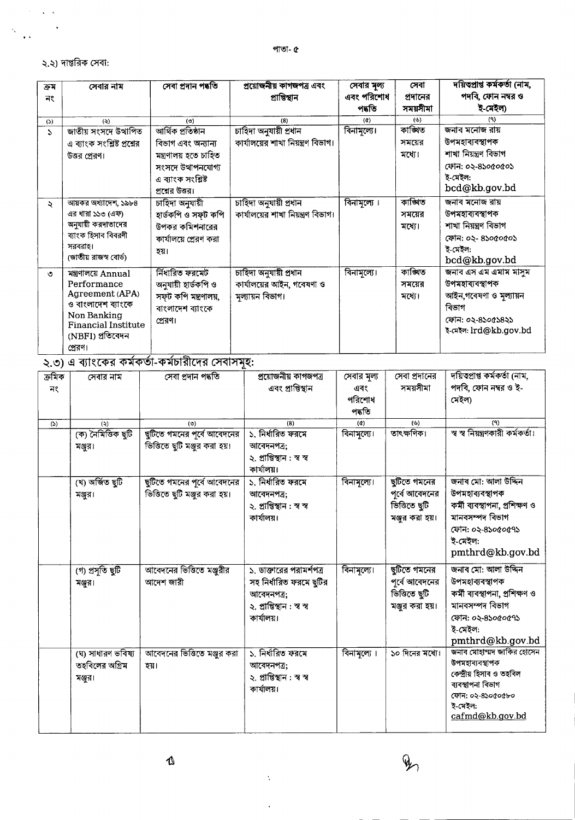## ২.২) দাপ্তরিক সেবা:

 $\sim$  $\Delta \sim 30$ 

 $\ddot{\mathcal{A}}$  $\ddot{\phantom{a}}$ 

| ক্ৰম         | সেবার নাম                   | সেবা প্ৰদান পদ্ধতি    | প্ৰয়োজনীয় কাগজপত্ৰ এবং           | সেবার মূল্য                | সেবা            | দয়িত্প্ৰাপ্ত কৰ্মকৰ্তা (নাম, |
|--------------|-----------------------------|-----------------------|------------------------------------|----------------------------|-----------------|-------------------------------|
| নং           |                             |                       | প্ৰাপ্তিস্থান                      | এবং পরিশোধ                 | প্রদানের        | পদবি, ফোন নম্বর ও             |
|              |                             |                       |                                    | পদতি                       | সময়সীমা        | ই-মেইল)                       |
| (5)          | (5)                         | (5)                   | (8)                                | $\left( \mathbf{d}\right)$ | $(\mathcal{P})$ | (9)                           |
| $\mathbf{r}$ | জাতীয় সংসদে উত্থাপিত       | আৰ্থিক প্ৰতিষ্ঠান     | চাহিদা অনুযায়ী প্ৰধান             | বিনামূল্যে।                | কাঙ্খিত         | জনাব মনোজ রায়                |
|              | এ ব্যাংক সংশ্লিষ্ট প্রশ্নের | বিভাগ এবং অন্যান্য    | কার্যালয়ের শাখা নিয়ন্ত্রণ বিভাগ। |                            | সময়ের          | উপমহাব্যবস্থাপক               |
|              | উত্তর প্রেরণ।               | মন্ত্ৰণালয় হতে চাহিত |                                    |                            | মধ্যে।          | শাখা নিয়ন্ত্ৰণ বিভাগ         |
|              |                             | সংসদে উত্থাপনযোগ্য    |                                    |                            |                 | ফোন: ০২-৪১০৫০৫০১              |
|              |                             | এ ব্যাংক সংশ্লিষ্ট    |                                    |                            |                 | ই-মেইল:                       |
|              |                             | প্রশ্নের উত্তর।       |                                    |                            |                 | bcd@kb.gov.bd                 |
| ÷.           | আয়কর অধ্যাদেশ, ১৯৮৪        | চাহিদা অনুযায়ী       | চাহিদা অনুযায়ী প্ৰধান             | বিনামূল্যে ।               | কাণ্ডিত         | জনাব মনোজ রায়                |
|              | এর ধারা ১১৩ (এফ)            | হাৰ্ডকপি ও সফূট কপি   | কার্যালয়ের শাখা নিয়ন্ত্রণ বিভাগ। |                            | সময়ের          | উপমহাব্যবস্থাপক               |
|              | অনুযায়ী করদাতাদের          | উপকর কমিশনারের        |                                    |                            | মধ্যে।          | শাখা নিয়ন্ত্ৰণ বিভাগ         |
|              | ব্যাংক হিসাব বিবরণী         | কার্যালয়ে প্রেরণ করা |                                    |                            |                 | ফোন: ০২- ৪১০৫০৫০১             |
|              | সরবরাহ।                     | হয়।                  |                                    |                            |                 | ই-মেইল:                       |
|              | (জাতীয় রাজস্ব বোর্ড)       |                       |                                    |                            |                 | bcd@kb.gov.bd                 |
| $\circ$      | মন্ত্রণালয়ে Annual         | ৰ্নিধারিত ফরমেট       | চাহিদা অনুযায়ী প্ৰধান             | বিনামূল্যে।                | কাঙ্গিত         | জনাব এস এম এমাম মাসুম         |
|              | Performance                 | অনুযায়ী হাৰ্ডকপি ও   | কার্যালয়ের আইন, গবেষণা ও          |                            | সময়ের          | উপমহাব্যবস্থাপক               |
|              | Agreement (APA)             | সফূট কপি মন্ত্রণালয়, | মূল্যায়ন বিভাগ।                   |                            | মধ্যে।          | আইন,গবেষণা ও মূল্যায়ন        |
|              | ও বাংলাদেশ ব্যাংকে          | বাংলাদেশ ব্যাংকে      |                                    |                            |                 | বিভাগ                         |
|              | Non Banking                 | প্রেরণ।               |                                    |                            |                 | ফোন: ০২-৪১০৫১৪২১              |
|              | <b>Financial Institute</b>  |                       |                                    |                            |                 | ই-মেইল: lrd@kb.gov.bd         |
|              | (NBFI) প্ৰতিবেদন            |                       |                                    |                            |                 |                               |
|              | প্রেরণ।                     |                       |                                    |                            |                 |                               |

 $\overline{S_{12}(0)}$ এ ব্যাংকের কর্মকর্তা-কর্মচারীদের সেবাসমূহ:

| ক্ৰমিক | সেবার নাম          | সেবা প্ৰদান পদ্ধতি            | প্ৰয়োজনীয় কাগজপত্ৰ       | সেবার মূল্য        | সেবা প্রদানের   | দয়িত্বপ্ৰাপ্ত কৰ্মকৰ্তা (নাম,    |
|--------|--------------------|-------------------------------|----------------------------|--------------------|-----------------|-----------------------------------|
| নং     |                    |                               | এবং প্রাপ্তিস্থান          | এবং                | সময়সীমা        | পদবি, ফোন নম্বর ও ই-              |
|        |                    |                               |                            | পরিশোধ             |                 | মেইল)                             |
|        |                    |                               |                            | পদ্ধতি             |                 |                                   |
| (5)    | (3)                | (5)                           | (8)                        | $\left( d \right)$ | (v)             | (9)                               |
|        | (ক) নৈমিত্তিক ছুটি | ছুটিতে গমনের পূর্বে আবেদনের   | ১. নিৰ্ধারিত ফরমে          | বিনামূল্যে।        | তাৎক্ষণিক।      | স্ব স্ব নিয়ন্ত্রণকারী কর্মকর্তা। |
|        | মঞ্জুর।            | ভিত্তিতে ছুটি মঞ্জুর করা হয়। | আবেদনপত্ৰ;                 |                    |                 |                                   |
|        |                    |                               | ২. প্ৰাপ্তিস্থান : স্ব স্ব |                    |                 |                                   |
|        |                    |                               | কাৰ্যালয়।                 |                    |                 |                                   |
|        | (খ) অৰ্জিত ছুটি    | ছুটিতে গমনের পূর্বে আবেদনের   | ১. নির্ধারিত ফরমে          | বিনামূল্যে।        | ছুটিতে গমনের    | জনাব মো: আলা উদ্দিন               |
|        | মঞ্জুর।            | ভিত্তিতে ছুটি মঞ্জুর করা হয়। | আবেদনপত্ৰ;                 |                    | পূর্বে আবেদনের  | উপমহাব্যবস্থাপক                   |
|        |                    |                               | ২. প্ৰাপ্তিস্থান : স্ব স্ব |                    | ৰ্ভিত ছুটি      | কৰ্মী ব্যবস্থাপনা, প্ৰশিক্ষণ ও    |
|        |                    |                               | কাৰ্যালয়।                 |                    | মঞ্জুর করা হয়। | মানবসম্পদ বিভাগ                   |
|        |                    |                               |                            |                    |                 | ফোন: ০২-৪১০৫০৫৭১                  |
|        |                    |                               |                            |                    |                 | ই-মেইল:                           |
|        |                    |                               |                            |                    |                 | pmthrd@kb.gov.bd                  |
|        | (গ) প্ৰসূতি ছুটি   | আবেদনের ভিত্তিতে মঞ্জুরীর     | ১, ডাক্তারের পরামর্শপত্র   | বিনামূল্যে।        | ছুটিতে গমনের    | জনাব মো: আলা উদ্দিন               |
|        | মঞ্জুর।            | আদেশ জারী                     | সহ নির্ধারিত ফরমে ছুটির    |                    | পূৰ্বে আবেদনের  | উপমহাব্যবস্থাপক                   |
|        |                    |                               | আবেদনপত্র;                 |                    | ৰ্ভিত ছুটি      | কৰ্মী ব্যবস্থাপনা, প্ৰশিক্ষণ ও    |
|        |                    |                               | ২. প্ৰাপ্তিস্থান : স্ব স্ব |                    | মঞ্জুর করা হয়। | মানবসম্পদ বিভাগ                   |
|        |                    |                               | কাৰ্যালয়।                 |                    |                 | ফোন: ০২-৪১০৫০৫৭১                  |
|        |                    |                               |                            |                    |                 | ই-মেইল:                           |
|        |                    |                               |                            |                    |                 | pmthrd@kb.gov.bd                  |
|        | (ঘ) সাধারণ ভবিষ্য  | আবেদনের ভিত্তিতে মঞ্জুর করা   | ১. নিৰ্ধারিত ফরমে          | বিনামূল্যে ।       | ১০ দিনের মধ্যে। | জনাব মোহাম্মদ জাকির হোসেন         |
|        | তহবিলের অগ্রিম     | হয়।                          | আবেদনপত্ৰ;                 |                    |                 | উপমহাৰ্যবস্থাপক                   |
|        | মঞ্জুর।            |                               | ২. প্ৰাপ্তিস্থান : স্ব স্ব |                    |                 | কেন্দ্ৰীয় হিসাব ও তহবিল          |
|        |                    |                               | কাৰ্যালয়।                 |                    |                 | ব্যবস্থাপনা বিভাগ                 |
|        |                    |                               |                            |                    |                 | ফোন: ০২-৪১০৫০৫৮০                  |
|        |                    |                               |                            |                    |                 | ই-মেইল:                           |
|        |                    |                               |                            |                    |                 | cafmd@kb.gov.bd                   |
|        |                    |                               |                            |                    |                 |                                   |

 $\dot{\Sigma}$ 

l,

 $\mathcal{L}$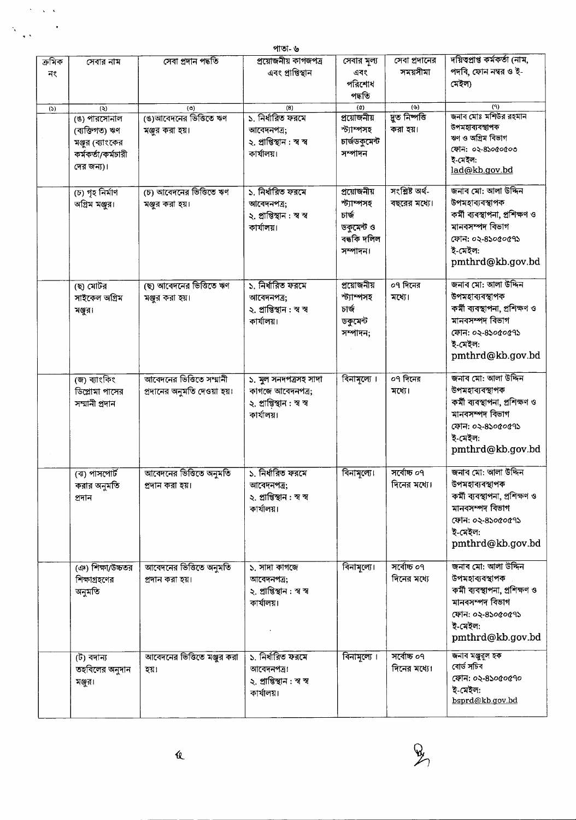|              |                                                                        |                                                         | পাতা- ৬                                                                               |                                                                              |                                 |                                                                                                                                                |
|--------------|------------------------------------------------------------------------|---------------------------------------------------------|---------------------------------------------------------------------------------------|------------------------------------------------------------------------------|---------------------------------|------------------------------------------------------------------------------------------------------------------------------------------------|
| ক্ৰমিক<br>নং | সেবার নাম                                                              | সেবা প্ৰদান পদ্ধতি                                      | প্রয়োজনীয় কাগজপত্র<br>এবং প্রাপ্তিস্থান                                             | সেবার মূল্য<br>এবং<br>পরিশোধ<br>পদ্ধতি                                       | সেবা প্রদানের<br>সময়সীমা       | দয়িত্বপ্ৰাপ্ত কৰ্মকৰ্তা (নাম,<br>পদবি, ফোন নম্বর ও ই-<br>মেইল)                                                                                |
| (5)          | (3)<br>(ঙ) পারসোনাল                                                    | $($ )<br>(ঙ)আবেদনের ভিত্তিতে ঋণ                         | (8)<br>১. নিৰ্ধারিত ফরমে                                                              | $\left( d \right)$<br>প্রয়োজনীয়                                            | (3)<br>দ্বুত নিষ্পত্তি          | (9)<br>জনাব মোঃ মশিউর রহমান<br>উপমহাব্যবস্থাপক                                                                                                 |
|              | (ব্যক্তিগত) ঋণ<br>মঞ্জুর (ব্যাংকের<br>কর্মকর্তা/কর্মচারী<br>দের জন্য)। | মঞ্জুর করা হয়।                                         | আবেদনপত্র;<br>২. প্ৰাপ্তিস্থান : স্ব স্ব<br>কাৰ্যালয়।                                | স্ট্যাম্পসহ<br>চাৰ্জডকুমেন্ট<br>সম্পাদন                                      | করা হয়।                        | ঋণ ও অগ্রিম বিভাগ<br>ফোন: ০২-৪১০৫০৫০৩<br>ই-মেইল:<br>lad@kb.gov.bd                                                                              |
|              | (চ) গৃহ নিৰ্মাণ<br>অগ্রিম মঞ্জুর।                                      | (চ) আবেদনের ভিত্তিতে ঋণ<br>মঞ্জুর করা হয়।              | ১. নিৰ্ধারিত ফরমে<br>আবেদনপত্ৰ;<br>২. প্ৰাপ্তিস্থান : স্ব স্ব<br>কাৰ্যালয়।           | প্ৰয়োজনীয়<br>স্ট্যাম্পসহ<br>চাৰ্জ<br>ডকুমেন্ট ও<br>বন্ধকি দলিল<br>সম্পাদন। | সংশ্লিষ্ট অৰ্থ-<br>বছরের মধ্যে। | জনাব মো: আলা উদ্দিন<br>উপমহাব্যবস্থাপক<br>কৰ্মী ব্যবস্থাপনা, প্ৰশিক্ষণ ও<br>মানবসম্পদ বিভাগ<br>ফোন: ০২-৪১০৫০৫৭১<br>ই-মেইল:<br>pmthrd@kb.gov.bd |
|              | (ছ) মোটর<br>সাইকেল অগ্ৰিম<br>মঞ্জুর।                                   | ছে) আবেদনের ভিত্তিতে ঋণ<br>মঞ্জুর করা হয়।              | ১. নির্ধারিত ফরমে<br>আবেদনপত্ৰ;<br>২. প্ৰাপ্তিস্থান : স্ব স্ব<br>কাৰ্যালয়।           | প্রয়োজনীয়<br>স্ট্যাম্পসহ<br>চাৰ্জ<br>ডকুমেন্ট<br>সম্পাদন;                  | ০৭ দিনের<br>মধ্যে।              | জনাব মো: আলা উদ্দিন<br>উপমহাব্যবস্থাপক<br>কৰ্মী ব্যবস্থাপনা, প্ৰশিক্ষণ ও<br>মানবসম্পদ বিভাগ<br>ফোন: ০২-৪১০৫০৫৭১<br>ই-মেইল:<br>pmthrd@kb.gov.bd |
|              | জে) ব্যাংকিং<br>ডিপ্লোমা পাসের<br>সম্মানী প্ৰদান                       | আবেদনের ভিত্তিতে সম্মানী<br>প্রদানের অনুমতি দেওয়া হয়। | ১. মুল সনদপত্ৰসহ সাদা<br>কাগজে আবেদনপত্র;<br>২. প্ৰাপ্তিস্থান : স্ব স্ব<br>কাৰ্যালয়। | বিনামূল্যে ।                                                                 | ০৭ দিনের<br>মধ্যে।              | জনাব মো: আলা উদ্দিন<br>উপমহাব্যবস্থাপক<br>কৰ্মী ব্যবস্থাপনা, প্ৰশিক্ষণ ও<br>মানবসম্পদ বিভাগ<br>ফোন: ০২-৪১০৫০৫৭১<br>ই-মেইল:<br>pmthrd@kb.gov.bd |
|              | (ঝ) পাসপোর্ট<br>করার অনুমতি<br>প্ৰদান                                  | আবেদনের ভিত্তিতে অনুমতি<br>প্রদান করা হয়।              | ১. নিৰ্ধারিত ফরমে<br>আবেদনপত্র;<br>২. প্ৰাপ্তিস্থান : স্ব স্ব<br>কাৰ্যালয়।           | বিনামূল্যে।                                                                  | সৰ্বোচ্চ ০৭<br>দিনের মধ্যে।     | জনাব মো: আলা উদ্দিন<br>উপমহাব্যবস্থাপক<br>কৰ্মী ব্যবস্থাপনা, প্ৰশিক্ষণ ও<br>মানবসম্পদ বিভাগ<br>ফোন: ০২-৪১০৫০৫৭১<br>ই-মেইল:<br>pmthrd@kb.gov.bd |
|              | ঞে) শিক্ষা/উচ্চতর<br>শিক্ষাগ্রহণের<br>অনুমতি                           | আবেদনের ভিত্তিতে অনুমতি<br>প্রদান করা হয়।              | ১. সাদা কাগজে<br>আবেদনপত্ৰ;<br>২. প্ৰাপ্তিস্থান : স্ব স্ব<br>কাৰ্যালয়।               | বিনামূল্যে।                                                                  | সৰ্বোচ্চ ০৭<br>দিনের মধ্যে      | জনাব মো: আলা উদ্দিন<br>উপমহাব্যবস্থাপক<br>কৰ্মী ব্যবস্থাপনা, প্ৰশিক্ষণ ও<br>মানবসম্পদ বিভাগ<br>ফোন: ০২-৪১০৫০৫৭১<br>ই-মেইল:<br>pmthrd@kb.gov.bd |
|              | (ট) বদান্য<br>তহবিলের অনুদান<br>মঞ্জুর।                                | আবেদনের ভিত্তিতে মঞ্জুর করা<br>হয়।                     | ১. নিৰ্ধারিত ফরমে<br>আবেদনপত্র।<br>২. প্ৰাপ্তিস্থান : স্ব স্ব<br>কাৰ্যালয়।           | বিনামূল্যে ।                                                                 | সৰ্বোচ্চ ০৭<br>দিনের মধ্যে।     | জনাব মঞ্জুরুল হক<br>বোৰ্ড সচিব<br>ফোন: ০২-৪১০৫০৫৭০<br>ই-মেইল:<br>bsprd@kb.gov.bd                                                               |

 $\frac{D}{2}$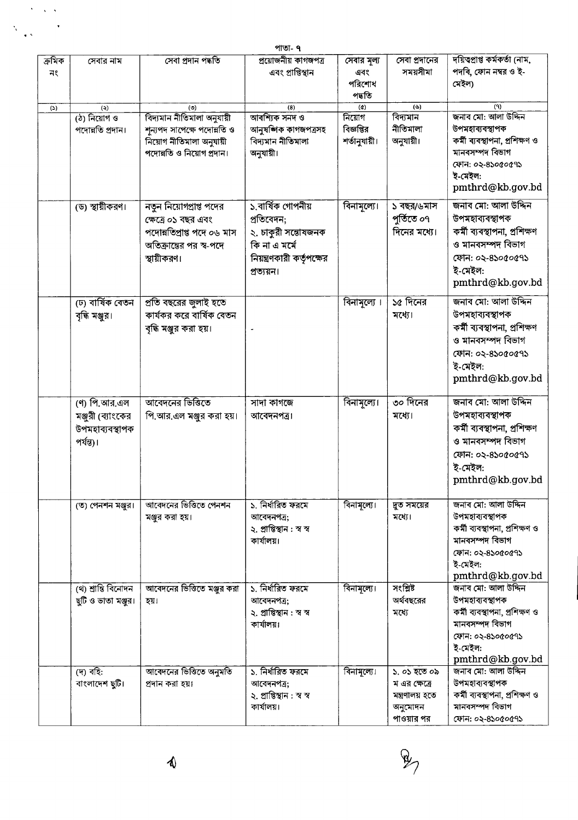|                            |                                                                   |                                                                                                                        | পাতা- ৭                                                                                                             |                                        |                                                                           |                                                                                                                                                |
|----------------------------|-------------------------------------------------------------------|------------------------------------------------------------------------------------------------------------------------|---------------------------------------------------------------------------------------------------------------------|----------------------------------------|---------------------------------------------------------------------------|------------------------------------------------------------------------------------------------------------------------------------------------|
| ক্ৰমিক<br>নং               | সেবার নাম                                                         | সেবা প্ৰদান পদ্ধতি                                                                                                     | প্রয়োজনীয় কাগজপত্র<br>এবং প্রাপ্তিস্থান                                                                           | সেবার মূল্য<br>এবং<br>পরিশোধ<br>পদ্ধতি | সেবা প্রদানের<br>সময়সীমা                                                 | দয়িত্বপ্ৰাপ্ত কৰ্মকৰ্তা (নাম,<br>পদবি, ফোন নম্বর ও ই-<br>মেইল)                                                                                |
| $\left( \mathbb{S}\right)$ | $\ddot{\mathbf{z}}$<br>(ঠ) নিয়োগ ও                               | (5)<br>বিদ্যমান নীতিমালা অনুযায়ী                                                                                      | (8)<br>আবশ্যিক সনদ ও                                                                                                | $\left( 0 \right)$<br>নিয়োগ           | $(\mathcal{C})$<br>বিদ্যমান                                               | (9)<br>জনাব মো: আলা উদ্দিন                                                                                                                     |
|                            | পদোন্নতি প্ৰদান।                                                  | শূন্যপদ সাপেক্ষে পদোন্নতি ও<br>নিয়োগ নীতিমালা অনুযায়ী<br>পদোন্নতি ও নিয়োগ প্ৰদান।                                   | আনুষজ্ঞিক কাগজপত্ৰসহ<br>বিদ্যমান নীতিমালা<br>অনুযায়ী।                                                              | বিজ্ঞপ্তির<br>শর্তানুযায়ী।            | নীতিমালা<br>অনুযায়ী।                                                     | উপমহাব্যবস্থাপক<br>কৰ্মী ব্যবস্থাপনা, প্ৰশিক্ষণ ও<br>মানবসম্পদ বিভাগ<br>ফোন: ০২-৪১০৫০৫৭১<br>ই-মেইল:<br>pmthrd@kb.gov.bd                        |
|                            | (ড) স্থায়ীকরণ।                                                   | নতুন নিয়োগপ্রাপ্ত পদের<br>ক্ষেত্রে ০১ বছর এবং<br>পদোন্নতিপ্ৰাপ্ত পদে ০৬ মাস<br>অতিক্রান্তের পর স্ব-পদে<br>স্থায়ীকরণ। | ১.বাৰ্ষিক গোপনীয়<br>প্ৰতিবেদন;<br>২. চাকুরী সন্তোষজনক<br>কি না এ মৰ্মে<br>নিয়ন্ত্রণকারী কর্তৃপক্ষের<br>প্ৰত্যয়ন। | বিনামূল্যে।                            | ১ বছর/৬মাস<br>পূৰ্তিতে ০৭<br>দিনের মধ্যে।                                 | জনাব মো: আলা উদ্দিন<br>উপমহাব্যবস্থাপক<br>কৰ্মী ব্যবস্থাপনা, প্ৰশিক্ষণ<br>ও মানবসম্পদ বিভাগ<br>ফোন: ০২-৪১০৫০৫৭১<br>ই-মেইল:<br>pmthrd@kb.gov.bd |
|                            | (ঢ) বাৰ্ষিক বেতন<br>বৃদ্ধি মঞ্জুর।                                | প্রতি বছরের জুলাই হতে<br>কার্যকর করে বার্ষিক বেতন<br>বৃদ্ধি মঞ্জুর করা হয়।                                            |                                                                                                                     | বিনামূল্যে ।                           | ১৫ দিনের<br>মধ্যে।                                                        | জনাব মো: আলা উদ্দিন<br>উপমহাব্যবস্থাপক<br>কৰ্মী ব্যবস্থাপনা, প্ৰশিক্ষণ<br>ও মানবসম্পদ বিভাগ<br>ফোন: ০২-৪১০৫০৫৭১<br>ই-মেইল:<br>pmthrd@kb.gov.bd |
|                            | (ণ) পি.আর.এল<br>মঞ্জুরী (ব্যাংকের<br>উপমহাব্যবস্থাপক<br>পর্যন্ত)। | আবেদনের ভিত্তিতে<br>পি.আর.এল মঞ্জুর করা হয়।                                                                           | সাদা কাগজে<br>আবেদনপত্র।                                                                                            | বিনামূল্যে।                            | ৩০ দিনের<br>মধ্যে।                                                        | জনাব মো: আলা উদ্দিন<br>উপমহাব্যবস্থাপক<br>কৰ্মী ব্যবস্থাপনা, প্ৰশিক্ষণ<br>ও মানবসম্পদ বিভাগ<br>ফোন: ০২-৪১০৫০৫৭১<br>ই-মেইল:<br>pmthrd@kb.gov.bd |
|                            | (ত) পেনশন মঞ্জুর।                                                 | আবেদনের ভিত্তিতে পেনশন<br>মঞ্জুর করা হয়।                                                                              | ১. নির্ধারিত ফরমে<br>আবেদনপত্র;<br>২. প্ৰাপ্তিস্থান : স্ব স্ব<br>কাৰ্যালয়।                                         | বিনামূল্যে।                            | দ্রুত সময়ের<br>মধ্যে।                                                    | জনাব মো: আলা উদ্দিন<br>উপমহাব্যবস্থাপক<br>কৰ্মী ব্যবস্থাপনা, প্ৰশিক্ষণ ও<br>মানবসম্পদ বিভাগ<br>ফোন: ০২-৪১০৫০৫৭১<br>ই-মেইল:<br>pmthrd@kb.gov.bd |
|                            | (থ) শ্ৰান্তি বিনোদন<br>ছুটি ও ভাতা মঞ্জুর।                        | আবেদনের ভিত্তিতে মঞ্জর করা<br>হয়।                                                                                     | ১. নিৰ্ধারিত ফরমে<br>আবেদনপত্ৰ;<br>২. প্ৰাপ্তিস্থান : স্ব স্ব<br>কাৰ্যালয়।                                         | বিনামূল্যে।                            | সংশ্লিষ্ট<br>অর্থবছরের<br>মধ্যে                                           | জনাব মো: আলা উদ্দিন<br>উপমহাব্যবস্থাপক<br>কৰ্মী ব্যবস্থাপনা, প্ৰশিক্ষণ ও<br>মানবসম্পদ বিভাগ<br>ফোন: ০২-৪১০৫০৫৭১<br>ই-মেইল:<br>pmthrd@kb.gov.bd |
|                            | (দ) বহি:<br>বাংলাদেশ ছুটি।                                        | আবেদনের ভিত্তিতে অনুমতি<br>প্ৰদান কৰা হয়।                                                                             | ১, নিৰ্ধারিত ফরমে<br>আবেদনপত্ৰ;<br>২. প্ৰাপ্তিস্থান : স্ব স্ব<br>কাৰ্যালয়।                                         | বিনামূল্যে।                            | ১. ০১ হতে ০৯<br>ম এর ক্ষেত্রে<br>মন্ত্ৰণালয় হতে<br>অনুমোদন<br>পাওয়ার পর | জনাব মো: আলা উদ্দিন<br>উপমহাব্যবস্থাপক<br>কৰ্মী ব্যবস্থাপনা, প্ৰশিক্ষণ ও<br>মানবসম্পদ বিভাগ<br>ফোন: ০২-৪১০৫০৫৭১                                |



 $\langle \cdot \rangle$ 

Ň,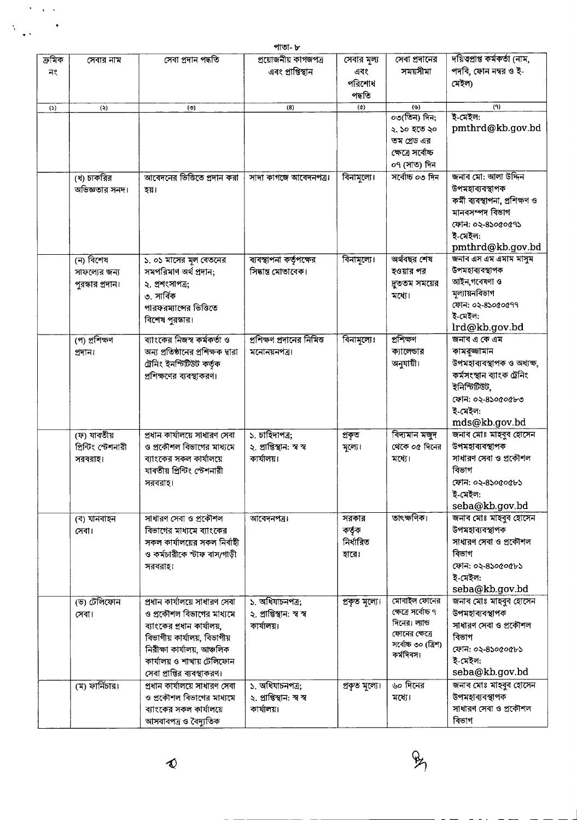|        |                                                |                                                            | পাতা- ৮                                      |                     |                          |                                          |
|--------|------------------------------------------------|------------------------------------------------------------|----------------------------------------------|---------------------|--------------------------|------------------------------------------|
| ক্ৰমিক | সেবার নাম                                      | সেবা প্ৰদান পদ্ধতি                                         | প্রয়োজনীয় কাগজপত্র                         | সেবার মূল্য         | সেবা প্রদানের            | দয়িত্বপ্ৰাপ্ত কৰ্মকৰ্তা (নাম,           |
| নং     |                                                |                                                            | এবং প্রাপ্তিস্থান                            | এবং                 | সময়সীমা                 | পদবি, ফোন নম্বর ও ই-                     |
|        |                                                |                                                            |                                              | পরিশোধ              |                          | মেইল)                                    |
|        |                                                |                                                            |                                              | পদ্ধতি              |                          |                                          |
| (5)    | (5)                                            | (9)                                                        | (8)                                          | $\left( 0\right)$   | $\left( \varphi \right)$ | (9)                                      |
|        |                                                |                                                            |                                              |                     | ০৩(তিন) দিন;             | ই-মেইল:                                  |
|        |                                                |                                                            |                                              |                     | ২. ১০ হতে ২০             | pmthrd@kb.gov.bd                         |
|        |                                                |                                                            |                                              |                     | তম গ্ৰেড এর              |                                          |
|        |                                                |                                                            |                                              |                     | ক্ষেত্রে সর্বোচ্চ        |                                          |
|        |                                                |                                                            |                                              |                     | ০৭ (সাত) দিন             |                                          |
|        | (ধ) চাকরির                                     | আবেদনের ভিত্তিতে প্রদান করা                                | সাদা কাগজে আবেদনপত্র।                        | বিনামূল্যে।         | সৰ্বোচ্চ ০৩ দিন          | জনাব মো: আলা উদ্দিন                      |
|        | অভিজ্ঞতার সনদ।                                 | হয়।                                                       |                                              |                     |                          | উপমহাব্যবস্থাপক                          |
|        |                                                |                                                            |                                              |                     |                          | কৰ্মী ব্যবস্থাপনা, প্ৰশিক্ষণ ও           |
|        |                                                |                                                            |                                              |                     |                          | মানবসম্পদ বিভাগ                          |
|        |                                                |                                                            |                                              |                     |                          | ফোন: ০২-৪১০৫০৫৭১                         |
|        |                                                |                                                            |                                              |                     |                          | ই-মেইল:                                  |
|        |                                                |                                                            |                                              |                     |                          | pmthrd@kb.gov.bd                         |
|        | (ন) বিশেষ                                      | ১. ০১ মাসের মূল বেতনের                                     | ব্যবস্থাপনা কর্তৃপক্ষের                      | বিনামূল্যে।         | অৰ্থবছর শেষ              | জনাব এস এম এমাম মাসুম                    |
|        | সাফল্যের জন্য                                  | সমপরিমাণ অর্থ প্রদান;                                      | সিদ্ধান্ত মোতাবেক।                           |                     | হওয়ার পর                | উপমহাব্যবস্থাপক                          |
|        | পুরস্কার প্রদান।                               | ২. প্রশংসাপত্র;                                            |                                              |                     | দ্রততম সময়ের            | আইন,গবেষণা ও                             |
|        |                                                | ৩. সার্বিক                                                 |                                              |                     | মধ্যে।                   | মল্যায়নবিভাগ                            |
|        |                                                | পারফরম্যান্সের ভিত্তিতে                                    |                                              |                     |                          | ফোন: ০২-৪১০৫০৫৭৭                         |
|        |                                                | বিশেষ পুরস্কার।                                            |                                              |                     |                          | ই-মেইল:                                  |
|        |                                                |                                                            |                                              |                     |                          | lrd@kb.gov.bd                            |
|        | (প) প্ৰশিক্ষণ                                  | ব্যাংকের নিজস্ব কর্মকর্তা ও                                | প্রশিক্ষণ প্রদানের নিমিত্ত                   | বিনামূল্যে।         | প্ৰশিক্ষণ                | জনাব এ কে এম                             |
|        | প্ৰদান।                                        | অন্য প্রতিষ্ঠানের প্রশিক্ষক দ্বারা                         | মনোনয়নপত্ৰ৷                                 |                     | ক্যালেন্ডার              | কামরূজ্জামান                             |
|        |                                                | ট্ৰেনিং ইনস্টিটিউট কৰ্তৃক                                  |                                              |                     | অনুযায়ী।                | উপমহাব্যবস্থাপক ও অধ্যক্ষ,               |
|        |                                                | প্রশিক্ষণের ব্যবস্থাকরণ।                                   |                                              |                     |                          | কৰ্মসংস্থান ব্যাংক ট্ৰেনিং               |
|        |                                                |                                                            |                                              |                     |                          | ইনিস্টিউট,                               |
|        |                                                |                                                            |                                              |                     |                          | ফোন: ০২-৪১০৫০৫৮৩                         |
|        |                                                |                                                            |                                              |                     |                          | ই-মেইল:                                  |
|        |                                                |                                                            |                                              |                     |                          | mds@kb.gov.bd                            |
|        | (ফ) যাবতীয়                                    | প্ৰধান কাৰ্যালয়ে সাধারণ সেবা                              | ১. চাহিদাপত্র;                               | প্ৰকৃত              | বিদ্যমান মজুদ            | জনাব মোঃ মাহবুব হোসেন                    |
|        | প্রিন্টিং স্টেশনারী                            | ও প্রকৌশল বিভাগের মাধ্যমে                                  | ২. প্ৰাপ্তিস্থান: স্ব স্ব                    | মূল্যে।             | থেকে ০৫ দিনের            | উপমহাব্যবস্থাপক                          |
|        | সরবরাহ।                                        | ব্যাংকের সকল কার্যালয়ে                                    | কাৰ্যালয়।                                   |                     | মধ্যে।                   | সাধারণ সেবা ও প্রকৌশল                    |
|        |                                                | যাবতীয় প্রিন্টিং স্টেশনারী                                |                                              |                     |                          | বিভাগ                                    |
|        |                                                | সরবরাহ।                                                    |                                              |                     |                          | ফোন: ০২-৪১০৫০৫৮১                         |
|        |                                                |                                                            |                                              |                     |                          | ই-মেইল:                                  |
|        |                                                |                                                            |                                              |                     |                          | seba@kb.gov.bd                           |
|        | (ব) যানবাহন                                    | সাধারণ সেবা ও প্রকৌশল                                      | আবেদনপত্র।                                   | সরকার               | তাৎক্ষণিক।               | জনাব মোঃ মাহবুব হোসেন                    |
|        | সেবা।                                          | বিভাগের মাধ্যমে ব্যাংকের                                   |                                              | কর্তৃক<br>নিৰ্ধারিত |                          | উপমহাব্যবস্থাপক                          |
|        |                                                | সকল কার্যালয়ের সকল নির্বাহী                               |                                              |                     |                          | সাধারণ সেবা ও প্রকৌশল<br>বিভাগ           |
|        |                                                | ও কর্মচারীকে স্টাফ বাস/গাড়ী                               |                                              | হারে।               |                          |                                          |
|        |                                                | সরবরাহ।                                                    |                                              |                     |                          | ফোন: ০২-৪১০৫০৫৮১                         |
|        |                                                |                                                            |                                              |                     |                          | ই-মেইল:                                  |
|        |                                                |                                                            |                                              |                     | মোবাইল ফোনের             | seba@kb.gov.bd                           |
|        | (ভ) টেলিফোন                                    | প্রধান কার্যালয়ে সাধারণ সেবা<br>ও প্রকৌশল বিভাগের মাধ্যমে | ১. অধিযাচনপত্ৰ;<br>২. প্ৰাপ্তিস্থান: স্ব স্ব | প্ৰকৃত মূল্যে।      | ক্ষেত্রে সর্বোচ্চ ৭      | জনাব মোঃ মাহবুব হোসেন<br>উপমহাব্যবস্থাপক |
|        | সেবা।                                          |                                                            |                                              |                     | দিনের। ল্যান্ড           | সাধারণ সেবা ও প্রকৌশল                    |
|        |                                                | ব্যাংকের প্রধান কার্যালয়,                                 | কাৰ্যালয়।                                   |                     | ফোনের ক্ষেত্রে           | বিভাগ                                    |
|        |                                                | বিভাগীয় কাৰ্যালয়, বিভাগীয়                               |                                              |                     | সৰ্বোচ্চ ৩০ (ত্ৰিশ)      |                                          |
|        |                                                | নিরীক্ষা কার্যালয়, আঞ্চলিক                                |                                              |                     | কৰ্মদিবস।                | ফোন: ০২-৪১০৫০৫৮১<br>ই-মেইল:              |
|        |                                                | কার্যালয় ও শাখায় টেলিফোন                                 |                                              |                     |                          | seba@kb.gov.bd                           |
|        |                                                | সেবা প্রাপ্তির ব্যবস্থাকরণ।                                |                                              |                     |                          |                                          |
|        | $\overline{(\overline{x})\overline{w}}$ দিচার। | প্রধান কার্যালয়ে সাধারণ সেবা                              | ১. অধিযাচনপত্র;                              | প্ৰকৃত মূল্যে।      | ৬০ দিনের                 | জনাব মোঃ মাহবুব হোসেন<br>উপমহাব্যবস্থাপক |
|        |                                                | ও প্রকৌশল বিভাগের মাধ্যমে                                  | ২. প্ৰাপ্তিস্থান: স্ব স্ব                    |                     | মধ্যে।                   | সাধারণ সেবা ও প্রকৌশল                    |
|        |                                                | ব্যাংকের সকল কার্যালয়ে                                    | কাৰ্যালয়।                                   |                     |                          | বিভাগ                                    |
|        |                                                | আসবাবপত্ৰ ও বৈদ্যুতিক                                      |                                              |                     |                          |                                          |

 $\blacklozenge$ 

 $\ddot{\phantom{0}}$  $\sqrt{2}$ 

 $\ddot{\phantom{0}}$ 

 $\ddot{\phantom{0}}$ 

 $\tilde{\lambda}$ 

 $\mathcal{P}_{\mathcal{P}_{1}}$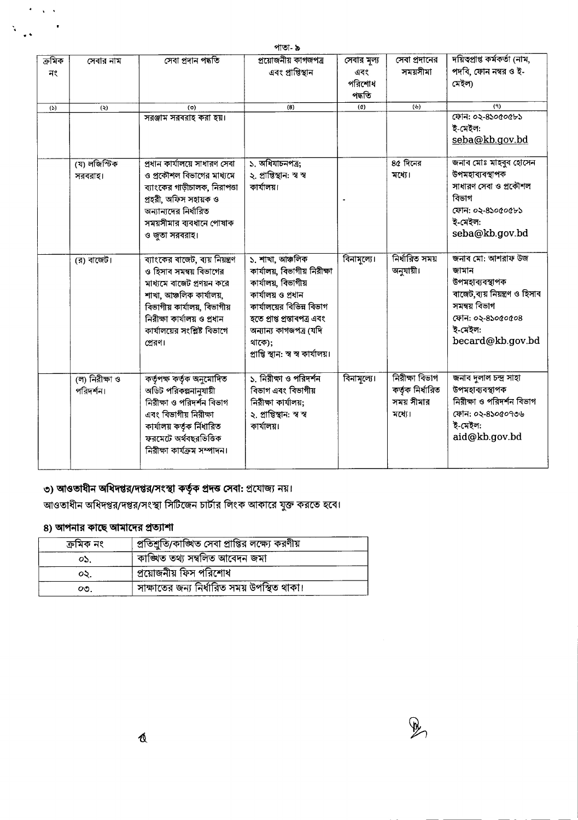$_{\text{offset}}$ 

|              |                             |                                                                                                                                                                                                                                | ଆ ଆ∽ ଢ                                                                                                                                                                                                                               |                                        |                                                            |                                                                                                                                                     |
|--------------|-----------------------------|--------------------------------------------------------------------------------------------------------------------------------------------------------------------------------------------------------------------------------|--------------------------------------------------------------------------------------------------------------------------------------------------------------------------------------------------------------------------------------|----------------------------------------|------------------------------------------------------------|-----------------------------------------------------------------------------------------------------------------------------------------------------|
| ক্ৰমিক<br>নং | সেবার নাম                   | সেবা প্ৰদান পদ্ধতি                                                                                                                                                                                                             | প্রয়োজনীয় কাগজপত্র<br>এবং প্রাপ্তিস্থান                                                                                                                                                                                            | সেবার মূল্য<br>এবং<br>পরিশোধ<br>পদ্ধতি | সেবা প্রদানের<br>সময়সীমা                                  | দয়িত্প্ৰাপ্ত কৰ্মকৰ্তা (নাম,<br>পদবি, ফোন নম্বর ও ই-<br>মেইলা                                                                                      |
| (5)          | (5)                         | (0)                                                                                                                                                                                                                            | (8)                                                                                                                                                                                                                                  | $\left( \alpha \right)$                | (v)                                                        | (9)                                                                                                                                                 |
|              |                             | সরঞ্জাম সরবরাহ করা হয়।                                                                                                                                                                                                        |                                                                                                                                                                                                                                      |                                        |                                                            | ফোন: ০২-৪১০৫০৫৮১<br>ই-মেইল:<br>seba@kb.gov.bd                                                                                                       |
|              | (য) লজিস্টিক<br>সরবরাহ।     | প্ৰধান কাৰ্যালয়ে সাধারণ সেবা<br>ও প্রকৌশল বিভাগের মাধ্যমে<br>ব্যাংকের গাড়ীচালক, নিরাপত্তা<br>প্ৰহরী, অফিস সহায়ক ও<br>অন্যান্যদের নির্ধারিত<br>সময়সীমার ব্যবধানে পোষাক<br>ও জুতা সরবরাহ।                                    | ১. অধিযাচনপত্র;<br>২. প্ৰাপ্তিস্থান: স্ব স্ব<br>কাৰ্যালয়।                                                                                                                                                                           |                                        | $80$ দিনের<br>মধ্যে।                                       | জনাব মোঃ মাহৰুব হোসেন<br>উপমহাব্যবস্থাপক<br>সাধারণ সেবা ও প্রকৌশল<br>বিভাগ<br>ফোন: ০২-৪১০৫০৫৮১<br>ই-মেইল:<br>seba@kb.gov.bd                         |
|              | (র) বাজেট।                  | ব্যাংকের বাজেট, ব্যয় নিয়ন্ত্রণ<br>ও হিসাব সমন্বয় বিভাগের<br>মাধ্যমে বাজেট প্রণয়ন করে<br>শাখা, আঞ্চলিক কার্যালয়,<br>বিভাগীয় কাৰ্যালয়, বিভাগীয়<br>নিরীক্ষা কার্যালয় ও প্রধান<br>কার্যালয়ের সংশ্লিষ্ট বিভাগে<br>প্রেরণ। | ১. শাখা, আঞ্চলিক<br>কার্যালয়, বিভাগীয় নিরীক্ষা<br>কার্যালয়, বিভাগীয়<br>কাৰ্যালয় ও প্ৰধান<br>কার্যালয়ের বিভিন্ন বিভাগ<br>হতে প্ৰাপ্ত প্ৰস্তাবপত্ৰ এবং<br>অন্যান্য কাগজপত্ৰ (যদি<br>থাকে);<br>প্ৰাপ্তি স্থান: স্ব স্ব কাৰ্যালয়। | বিনামূল্যে।                            | নিৰ্ধারিত সময়<br>অনুযায়ী।                                | জনাব মো: আশরাফ উজ<br>জামান<br>উপমহাব্যবস্থাপক<br>বাজেট,ব্যয় নিয়ন্ত্রণ ও হিসাব<br>সমন্বয় বিভাগ<br>ফোন: ০২-৪১০৫০৫০৪<br>ই-মেইল:<br>becard@kb.gov.bd |
|              | (ল) নিরীক্ষা ও<br>পরিদর্শন। | কৰ্তৃপক্ষ কৰ্তৃক অনুমোদিত<br>অডিট পরিকল্পনানুযায়ী<br>নিয়ীক্ষা ও পরিদর্শন বিভাগ<br>এবং বিভাগীয় নিরীক্ষা<br>কার্যালয় কর্তৃক র্নিধারিত<br>ফরমেটে অর্থবছরভিত্তিক<br>নিরীক্ষা কার্যক্রম সম্পাদন।                                | ১. নিরীক্ষা ও পরিদর্শন<br>বিভাগ এবং বিভাগীয়<br>নিরীক্ষা কার্যালয়;<br>২. প্ৰাপ্তিস্থান: স্ব স্ব<br>কাৰ্যালয়।                                                                                                                       | বিনামূল্যে।                            | নিরীক্ষা বিভাগ<br>কর্তৃক নির্ধারিত<br>সময় সীমার<br>মধ্যে। | জনাব দুলাল চন্দ্ৰ সাহা<br>উপমহাব্যবস্থাপক<br>নিরীক্ষা ও পরিদর্শন বিভাগ<br>ফোন: ০২-৪১০৫০৭৩৬<br>ই-মেইল:<br>aid@kb.gov.bd                              |

## ৩) আওতাধীন অধিদপ্তর/দপ্তর/সংস্থা কর্তৃক প্রদত্ত সেবা: প্রযোজ্য নয়।

আওতাধীন অধিদপ্তর/দপ্তর/সংস্থা সিটিজেন চার্টার লিংক আকারে যুক্ত করতে হবে।

#### ৪) আপনার কাছে আমাদের প্রত্যাশা

 $\sqrt{2}$ 

 $\mathbf{v}_\mathrm{c}$ 

| ক্ৰমিক নং | প্রতিশ্রুতি/কাঙ্খিত সেবা প্রাপ্তির লক্ষ্যে করণীয় |
|-----------|---------------------------------------------------|
| OS.       | কাঙ্খিত তথ্য সম্বলিত আবেদন জমা                    |
| ০২.       | প্রয়োজনীয় ফিস পরিশোধ                            |
| ೦೨.       | সাক্ষাতের জন্য নির্ধারিত সময় উপস্থিত থাকা।       |